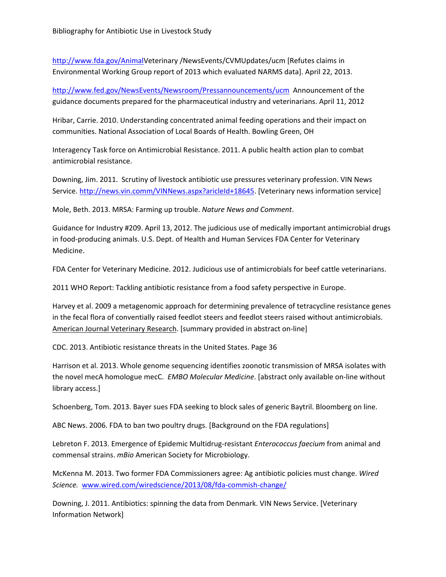[http://www.fda.gov/AnimalV](http://www.fda.gov/Animal)eterinary /NewsEvents/CVMUpdates/ucm [Refutes claims in Environmental Working Group report of 2013 which evaluated NARMS data]. April 22, 2013.

<http://www.fed.gov/NewsEvents/Newsroom/Pressannouncements/ucm>Announcement of the guidance documents prepared for the pharmaceutical industry and veterinarians. April 11, 2012

Hribar, Carrie. 2010. Understanding concentrated animal feeding operations and their impact on communities. National Association of Local Boards of Health. Bowling Green, OH

Interagency Task force on Antimicrobial Resistance. 2011. A public health action plan to combat antimicrobial resistance.

Downing, Jim. 2011. Scrutiny of livestock antibiotic use pressures veterinary profession. VIN News Service. [http://news.vin.comm/VINNews.aspx?aricleId+18645.](http://news.vin.comm/VINNews.aspx?aricleId+18645) [Veterinary news information service]

Mole, Beth. 2013. MRSA: Farming up trouble. *Nature News and Comment*.

Guidance for Industry #209. April 13, 2012. The judicious use of medically important antimicrobial drugs in food-producing animals. U.S. Dept. of Health and Human Services FDA Center for Veterinary Medicine.

FDA Center for Veterinary Medicine. 2012. Judicious use of antimicrobials for beef cattle veterinarians.

2011 WHO Report: Tackling antibiotic resistance from a food safety perspective in Europe.

Harvey et al. 2009 a metagenomic approach for determining prevalence of tetracycline resistance genes in the fecal flora of conventially raised feedlot steers and feedlot steers raised without antimicrobials. American Journal Veterinary Research. [summary provided in abstract on-line]

CDC. 2013. Antibiotic resistance threats in the United States. Page 36

Harrison et al. 2013. Whole genome sequencing identifies zoonotic transmission of MRSA isolates with the novel mecA homologue mecC. *EMBO Molecular Medicine*. [abstract only available on-line without library access.]

Schoenberg, Tom. 2013. Bayer sues FDA seeking to block sales of generic Baytril. Bloomberg on line.

ABC News. 2006. FDA to ban two poultry drugs. [Background on the FDA regulations]

Lebreton F. 2013. Emergence of Epidemic Multidrug-resistant *Enterococcus faecium* from animal and commensal strains. *mBio* American Society for Microbiology.

McKenna M. 2013. Two former FDA Commissioners agree: Ag antibiotic policies must change. *Wired Science.* [www.wired.com/wiredscience/2013/08/fda-commish-change/](http://www.wired.com/wiredscience/2013/08/fda-commish-change/)

Downing, J. 2011. Antibiotics: spinning the data from Denmark. VIN News Service. [Veterinary Information Network]